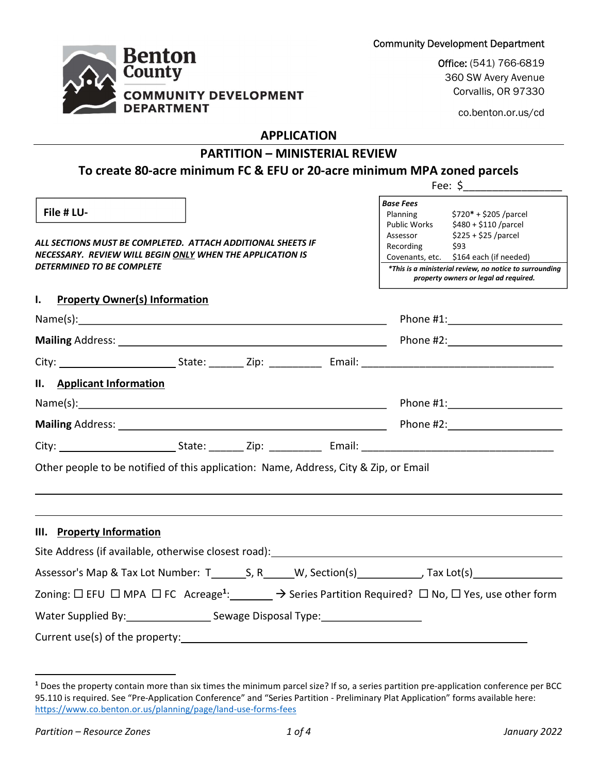Fee: \$\_\_\_\_\_\_\_\_\_\_\_\_\_\_\_\_\_



Community Development Department<br>Office: (541) 766-6819<br>360 SW Avery Avenue Corvallis, OR 97330

co.benton.or.us/cd

## APPLICATION

# PARTITION – MINISTERIAL REVIEW

# To create 80-acre minimum FC & EFU or 20-acre minimum MPA zoned parcels

| File # LU-                                                                                                                                           |  |                                                                                                  | Base Fees                                                                                                              | Planning \$720* + \$205 /parcel |  |
|------------------------------------------------------------------------------------------------------------------------------------------------------|--|--------------------------------------------------------------------------------------------------|------------------------------------------------------------------------------------------------------------------------|---------------------------------|--|
| ALL SECTIONS MUST BE COMPLETED. ATTACH ADDITIONAL SHEETS IF<br>NECESSARY. REVIEW WILL BEGIN ONLY WHEN THE APPLICATION IS                             |  | Recording                                                                                        | Public Works \$480 + \$110 / parcel<br>Assessor \$225 + \$25 /parcel<br>\$93<br>Covenants, etc. \$164 each (if needed) |                                 |  |
| DETERMINED TO BE COMPLETE                                                                                                                            |  | *This is a ministerial review, no notice to surrounding<br>property owners or legal ad required. |                                                                                                                        |                                 |  |
| I. Property Owner(s) Information                                                                                                                     |  |                                                                                                  |                                                                                                                        |                                 |  |
|                                                                                                                                                      |  |                                                                                                  |                                                                                                                        |                                 |  |
|                                                                                                                                                      |  |                                                                                                  |                                                                                                                        | Phone #2: <u>Andrea</u>         |  |
|                                                                                                                                                      |  |                                                                                                  |                                                                                                                        |                                 |  |
| II. Applicant Information                                                                                                                            |  |                                                                                                  |                                                                                                                        |                                 |  |
|                                                                                                                                                      |  |                                                                                                  |                                                                                                                        |                                 |  |
|                                                                                                                                                      |  |                                                                                                  |                                                                                                                        |                                 |  |
|                                                                                                                                                      |  |                                                                                                  |                                                                                                                        |                                 |  |
| Other people to be notified of this application: Name, Address, City & Zip, or Email                                                                 |  |                                                                                                  |                                                                                                                        |                                 |  |
|                                                                                                                                                      |  |                                                                                                  |                                                                                                                        |                                 |  |
|                                                                                                                                                      |  |                                                                                                  |                                                                                                                        |                                 |  |
| III. Property Information                                                                                                                            |  |                                                                                                  |                                                                                                                        |                                 |  |
| Site Address (if available, otherwise closest road): North and the manuscription of the state of the state of                                        |  |                                                                                                  |                                                                                                                        |                                 |  |
| Assessor's Map & Tax Lot Number: T________S, R_______W, Section(s)_____________, Tax Lot(s)___________________                                       |  |                                                                                                  |                                                                                                                        |                                 |  |
| Zoning: $\Box$ EFU $\Box$ MPA $\Box$ FC Acreage <sup>1</sup> : $\Box$ $\rightarrow$ Series Partition Required? $\Box$ No, $\Box$ Yes, use other form |  |                                                                                                  |                                                                                                                        |                                 |  |
| Water Supplied By: No. 2014 Sewage Disposal Type: No. 2014 1998                                                                                      |  |                                                                                                  |                                                                                                                        |                                 |  |
| Current use(s) of the property:                                                                                                                      |  |                                                                                                  |                                                                                                                        |                                 |  |
|                                                                                                                                                      |  |                                                                                                  |                                                                                                                        |                                 |  |

 $\overline{a}$ 

<sup>&</sup>lt;sup>1</sup> Does the property contain more than six times the minimum parcel size? If so, a series partition pre-application conference per BCC 95.110 is required. See "Pre-Application Conference" and "Series Partition - Preliminary Plat Application" forms available here: https://www.co.benton.or.us/planning/page/land-use-forms-fees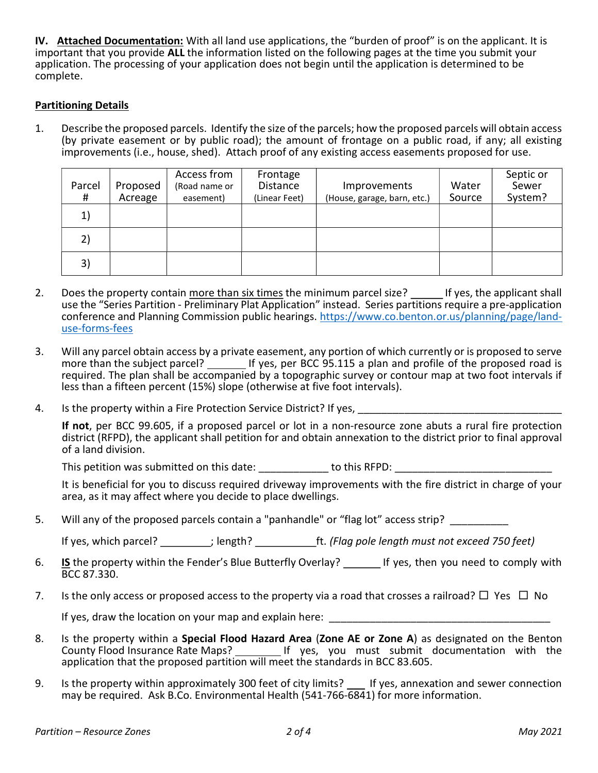IV. Attached Documentation: With all land use applications, the "burden of proof" is on the applicant. It is important that you provide ALL the information listed on the following pages at the time you submit your application. The processing of your application does not begin until the application is determined to be complete.

### Partitioning Details

1. Describe the proposed parcels. Identify the size of the parcels; how the proposed parcels will obtain access (by private easement or by public road); the amount of frontage on a public road, if any; all existing improvements (i.e., house, shed). Attach proof of any existing access easements proposed for use.

| Parcel<br># | Proposed<br>Acreage | Access from<br>(Road name or<br>easement) | Frontage<br><b>Distance</b><br>(Linear Feet) | Improvements<br>(House, garage, barn, etc.) | Water<br>Source | Septic or<br>Sewer<br>System? |
|-------------|---------------------|-------------------------------------------|----------------------------------------------|---------------------------------------------|-----------------|-------------------------------|
| 1)          |                     |                                           |                                              |                                             |                 |                               |
| 2)          |                     |                                           |                                              |                                             |                 |                               |
| 3)          |                     |                                           |                                              |                                             |                 |                               |

- 2. Does the property contain more than six times the minimum parcel size? \_\_\_\_\_ If yes, the applicant shall use the "Series Partition - Preliminary Plat Application" instead. Series partitions require a pre-application conference and Planning Commission public hearings. https://www.co.benton.or.us/planning/page/landuse-forms-fees
- 3. Will any parcel obtain access by a private easement, any portion of which currently or is proposed to serve more than the subject parcel? If yes, per BCC 95.115 a plan and profile of the proposed road is required. The plan shall be accompanied by a topographic survey or contour map at two foot intervals if less than a fifteen percent (15%) slope (otherwise at five foot intervals).
- 4. Is the property within a Fire Protection Service District? If yes,

If not, per BCC 99.605, if a proposed parcel or lot in a non-resource zone abuts a rural fire protection district (RFPD), the applicant shall petition for and obtain annexation to the district prior to final approval of a land division.

This petition was submitted on this date: <br>  $\qquad \qquad$  to this RFPD:

 It is beneficial for you to discuss required driveway improvements with the fire district in charge of your area, as it may affect where you decide to place dwellings.

5. Will any of the proposed parcels contain a "panhandle" or "flag lot" access strip?

If yes, which parcel?  $\qquad j$  length?  $\qquad \qquad$  ft. (Flag pole length must not exceed 750 feet)

- 6. **IS** the property within the Fender's Blue Butterfly Overlay? If yes, then you need to comply with BCC 87.330.
- 7. Is the only access or proposed access to the property via a road that crosses a railroad?  $\Box$  Yes  $\Box$  No

If yes, draw the location on your map and explain here:

- 8. Is the property within a Special Flood Hazard Area (Zone AE or Zone A) as designated on the Benton County Flood Insurance Rate Maps? If yes, you must submit documentation with the application that the proposed partition will meet the standards in BCC 83.605.
- 9. Is the property within approximately 300 feet of city limits? If yes, annexation and sewer connection may be required. Ask B.Co. Environmental Health (541-766-6841) for more information.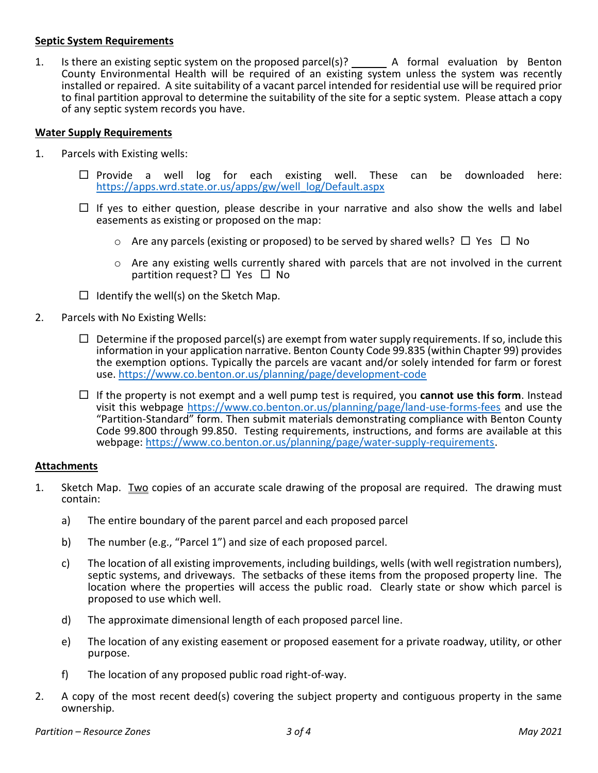#### Septic System Requirements

1. Is there an existing septic system on the proposed parcel(s)? \_\_\_\_\_\_\_\_ A formal evaluation by Benton County Environmental Health will be required of an existing system unless the system was recently installed or repaired. A site suitability of a vacant parcel intended for residential use will be required prior to final partition approval to determine the suitability of the site for a septic system. Please attach a copy of any septic system records you have.

### Water Supply Requirements

- 1. Parcels with Existing wells:
	- $\Box$  Provide a well log for each existing well. These can be downloaded here: https://apps.wrd.state.or.us/apps/gw/well\_log/Default.aspx
	- $\Box$  If yes to either question, please describe in your narrative and also show the wells and label easements as existing or proposed on the map:
		- $\circ$  Are any parcels (existing or proposed) to be served by shared wells?  $\Box$  Yes  $\Box$  No
		- $\circ$  Are any existing wells currently shared with parcels that are not involved in the current partition request?  $\Box$  Yes  $\Box$  No
	- $\Box$  Identify the well(s) on the Sketch Map.
- 2. Parcels with No Existing Wells:
	- $\Box$  Determine if the proposed parcel(s) are exempt from water supply requirements. If so, include this information in your application narrative. Benton County Code 99.835 (within Chapter 99) provides the exemption options. Typically the parcels are vacant and/or solely intended for farm or forest use. https://www.co.benton.or.us/planning/page/development-code
	- $\Box$  If the property is not exempt and a well pump test is required, you **cannot use this form**. Instead visit this webpage https://www.co.benton.or.us/planning/page/land-use-forms-fees and use the "Partition-Standard" form. Then submit materials demonstrating compliance with Benton County Code 99.800 through 99.850. Testing requirements, instructions, and forms are available at this webpage: https://www.co.benton.or.us/planning/page/water-supply-requirements.

#### Attachments

- 1. Sketch Map. Two copies of an accurate scale drawing of the proposal are required. The drawing must contain:
	- a) The entire boundary of the parent parcel and each proposed parcel
	- b) The number (e.g., "Parcel 1") and size of each proposed parcel.
	- c) The location of all existing improvements, including buildings, wells (with well registration numbers), septic systems, and driveways. The setbacks of these items from the proposed property line. The location where the properties will access the public road. Clearly state or show which parcel is proposed to use which well.
	- d) The approximate dimensional length of each proposed parcel line.
	- e) The location of any existing easement or proposed easement for a private roadway, utility, or other purpose.
	- f) The location of any proposed public road right-of-way.
- 2. A copy of the most recent deed(s) covering the subject property and contiguous property in the same ownership.